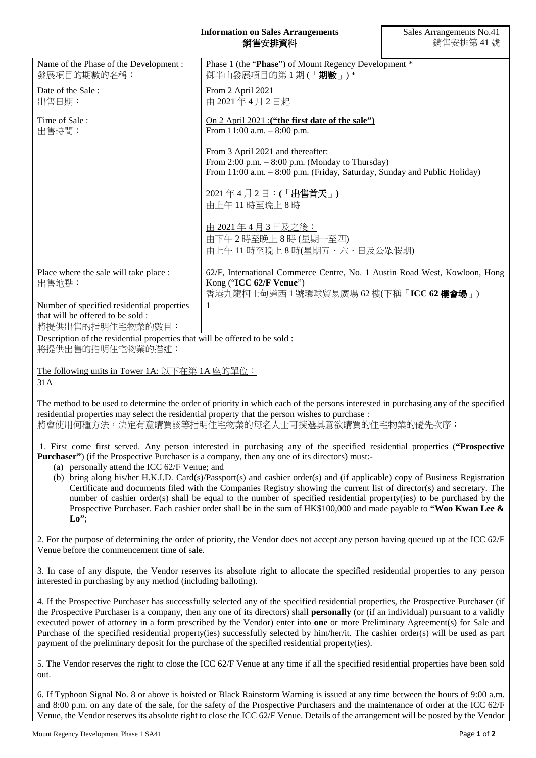## **Information on Sales Arrangements** 銷售安排資料

| Name of the Phase of the Development:<br>發展項目的期數的名稱:                                                                                                                                                                                   | Phase 1 (the "Phase") of Mount Regency Development *<br>御半山發展項目的第1期(「期數」)* |  |
|----------------------------------------------------------------------------------------------------------------------------------------------------------------------------------------------------------------------------------------|----------------------------------------------------------------------------|--|
| Date of the Sale:                                                                                                                                                                                                                      | From 2 April 2021                                                          |  |
| 出售日期:                                                                                                                                                                                                                                  | 由 2021年4月2日起                                                               |  |
|                                                                                                                                                                                                                                        |                                                                            |  |
| Time of Sale:                                                                                                                                                                                                                          | On 2 April 2021 : ("the first date of the sale")                           |  |
| 出售時間:                                                                                                                                                                                                                                  | From $11:00$ a.m. $-8:00$ p.m.                                             |  |
|                                                                                                                                                                                                                                        |                                                                            |  |
|                                                                                                                                                                                                                                        | From 3 April 2021 and thereafter:                                          |  |
|                                                                                                                                                                                                                                        | From 2:00 p.m. $-$ 8:00 p.m. (Monday to Thursday)                          |  |
|                                                                                                                                                                                                                                        | From 11:00 a.m. - 8:00 p.m. (Friday, Saturday, Sunday and Public Holiday)  |  |
|                                                                                                                                                                                                                                        | 2021年4月2日:(「出售首天」)                                                         |  |
|                                                                                                                                                                                                                                        | 由上午11時至晚上8時                                                                |  |
|                                                                                                                                                                                                                                        |                                                                            |  |
|                                                                                                                                                                                                                                        | <u>由 2021年4月3日及之後:</u>                                                     |  |
|                                                                                                                                                                                                                                        | 由下午2時至晚上8時(星期一至四)                                                          |  |
|                                                                                                                                                                                                                                        | 由上午11時至晚上8時(星期五、六、日及公眾假期)                                                  |  |
|                                                                                                                                                                                                                                        |                                                                            |  |
| Place where the sale will take place :                                                                                                                                                                                                 | 62/F, International Commerce Centre, No. 1 Austin Road West, Kowloon, Hong |  |
| 出售地點:                                                                                                                                                                                                                                  | Kong ("ICC 62/F Venue")                                                    |  |
|                                                                                                                                                                                                                                        | 香港九龍柯士甸道西1號環球貿易廣場 62樓(下稱「ICC 62樓會場」)                                       |  |
| Number of specified residential properties                                                                                                                                                                                             | $\mathbf{1}$                                                               |  |
| that will be offered to be sold:                                                                                                                                                                                                       |                                                                            |  |
| 將提供出售的指明住宅物業的數目:                                                                                                                                                                                                                       |                                                                            |  |
| Description of the residential properties that will be offered to be sold:                                                                                                                                                             |                                                                            |  |
| 將提供出售的指明住宅物業的描述:                                                                                                                                                                                                                       |                                                                            |  |
|                                                                                                                                                                                                                                        |                                                                            |  |
| The following units in Tower 1A: 以下在第1A座的單位:                                                                                                                                                                                           |                                                                            |  |
| 31A                                                                                                                                                                                                                                    |                                                                            |  |
|                                                                                                                                                                                                                                        |                                                                            |  |
| The method to be used to determine the order of priority in which each of the persons interested in purchasing any of the specified<br>residential properties may select the residential property that the person wishes to purchase : |                                                                            |  |
| 將會使用何種方法,決定有意購買該等指明住宅物業的每名人士可揀選其意欲購買的住宅物業的優先次序:                                                                                                                                                                                        |                                                                            |  |
|                                                                                                                                                                                                                                        |                                                                            |  |
| 1. First come first served. Any person interested in purchasing any of the specified residential properties ("Prospective                                                                                                              |                                                                            |  |
| Purchaser") (if the Prospective Purchaser is a company, then any one of its directors) must:-                                                                                                                                          |                                                                            |  |
| (a) personally attend the ICC 62/F Venue; and                                                                                                                                                                                          |                                                                            |  |
| (b) bring along his/her H.K.I.D. Card(s)/Passport(s) and cashier order(s) and (if applicable) copy of Business Registration                                                                                                            |                                                                            |  |

Certificate and documents filed with the Companies Registry showing the current list of director(s) and secretary. The number of cashier order(s) shall be equal to the number of specified residential property(ies) to be purchased by the Prospective Purchaser. Each cashier order shall be in the sum of HK\$100,000 and made payable to **"Woo Kwan Lee & Lo"**;

2. For the purpose of determining the order of priority, the Vendor does not accept any person having queued up at the ICC 62/F Venue before the commencement time of sale.

3. In case of any dispute, the Vendor reserves its absolute right to allocate the specified residential properties to any person interested in purchasing by any method (including balloting).

4. If the Prospective Purchaser has successfully selected any of the specified residential properties, the Prospective Purchaser (if the Prospective Purchaser is a company, then any one of its directors) shall **personally** (or (if an individual) pursuant to a validly executed power of attorney in a form prescribed by the Vendor) enter into **one** or more Preliminary Agreement(s) for Sale and Purchase of the specified residential property(ies) successfully selected by him/her/it. The cashier order(s) will be used as part payment of the preliminary deposit for the purchase of the specified residential property(ies).

5. The Vendor reserves the right to close the ICC 62/F Venue at any time if all the specified residential properties have been sold out.

6. If Typhoon Signal No. 8 or above is hoisted or Black Rainstorm Warning is issued at any time between the hours of 9:00 a.m. and 8:00 p.m. on any date of the sale, for the safety of the Prospective Purchasers and the maintenance of order at the ICC 62/F Venue, the Vendor reserves its absolute right to close the ICC 62/F Venue. Details of the arrangement will be posted by the Vendor